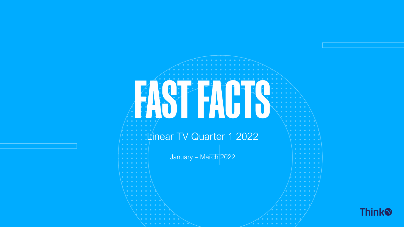# EASTEACT Linear TV Quarter 1 2022 January – March 2022

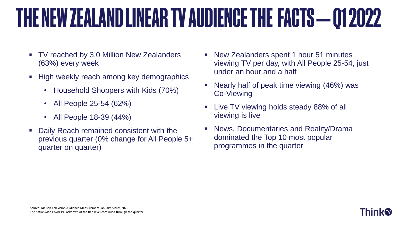### THE NEW ZEALAND LINEAR TV AUDIENCE THE FACTS - 01 2022

- TV reached by 3.0 Million New Zealanders (63%) every week
- High weekly reach among key demographics
	- Household Shoppers with Kids (70%)
	- All People 25-54 (62%)
	- All People 18-39 (44%)
- Daily Reach remained consistent with the previous quarter (0% change for All People 5+ quarter on quarter)
- New Zealanders spent 1 hour 51 minutes viewing TV per day, with All People 25-54, just under an hour and a half
- Nearly half of peak time viewing (46%) was Co-Viewing
- Live TV viewing holds steady 88% of all viewing is live
- News, Documentaries and Reality/Drama dominated the Top 10 most popular programmes in the quarter



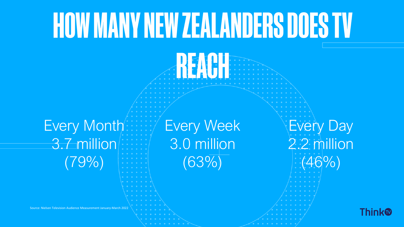# HOW MANY NEW ZEALANDERS DOES TV

K 7NH

### Every Month 3.7 million (79%)

Source: Nielsen Television Audience Measurement January-March 2022

Every Week 3.0 million (63%)

Every Day 2.2 million (46%)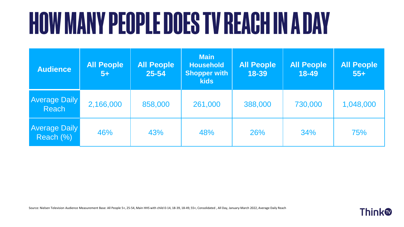# **HOW MANY PEOPLE DOES TV REACH IN A DAY**

| <b>Audience</b>                   | <b>All People</b><br>$5+$ | <b>All People</b><br>$25 - 54$ | <b>Main</b><br><b>Household</b><br><b>Shopper with</b><br><b>kids</b> | <b>All People</b><br>18-39 | <b>All People</b><br>18-49 | <b>All People</b><br>$55+$ |
|-----------------------------------|---------------------------|--------------------------------|-----------------------------------------------------------------------|----------------------------|----------------------------|----------------------------|
| <b>Average Daily</b><br>Reach     | 2,166,000                 | 858,000                        | 261,000                                                               | 388,000                    | 730,000                    | 1,048,000                  |
| <b>Average Daily</b><br>Reach (%) | 46%                       | 43%                            | 48%                                                                   | <b>26%</b>                 | 34%                        | 75%                        |

Source: Nielsen Television Audience Measurement Base: All People 5+, 25-54, Main HHS with child 0-14, 18-39, 18-49, 55+, Consolidated , All Day, January-March 2022, Average Daily Reach

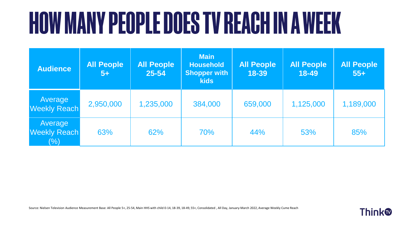# **HOW MANY PEOPLE DOES TV REACH IN A WEEK**

| <b>Audience</b>                          | <b>All People</b><br>$5+$ | <b>All People</b><br>25-54 | <b>Main</b><br><b>Household</b><br><b>Shopper with</b><br><b>kids</b> | <b>All People</b><br>18-39 | <b>All People</b><br>18-49 | <b>All People</b><br>$55 +$ |
|------------------------------------------|---------------------------|----------------------------|-----------------------------------------------------------------------|----------------------------|----------------------------|-----------------------------|
| Average<br><b>Weekly Reach</b>           | 2,950,000                 | 1,235,000                  | 384,000                                                               | 659,000                    | 1,125,000                  | 1,189,000                   |
| Average<br><b>Weekly Reach</b><br>$(\%)$ | 63%                       | 62%                        | 70%                                                                   | 44%                        | 53%                        | 85%                         |

Source: Nielsen Television Audience Measurement Base: All People 5+, 25-54, Main HHS with child 0-14, 18-39, 18-49, 55+, Consolidated , All Day, January-March 2022, Average Weekly Cume Reach

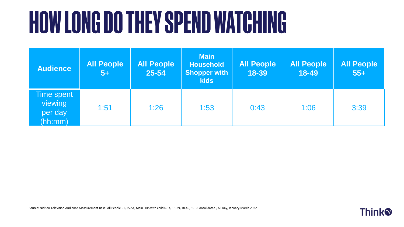# **HOW LONG DO THEY SPEND WATCHING**

| <b>Audience</b>                             | <b>All People</b><br>$5+$ | <b>All People</b><br>25-54 | <b>Main</b><br><b>Household</b><br><b>Shopper with</b><br><b>kids</b> | <b>All People</b><br>18-39 | <b>All People</b><br>18-49 | <b>All People</b><br>$55+$ |
|---------------------------------------------|---------------------------|----------------------------|-----------------------------------------------------------------------|----------------------------|----------------------------|----------------------------|
| Time spent<br>viewing<br>per day<br>(hh:mm) | 1:51                      | 1:26                       | 1:53                                                                  | 0:43                       | 1:06                       | 3:39                       |

Source: Nielsen Television Audience Measurement Base: All People 5+, 25-54, Main HHS with child 0-14, 18-39, 18-49, 55+, Consolidated , All Day, January-March 2022

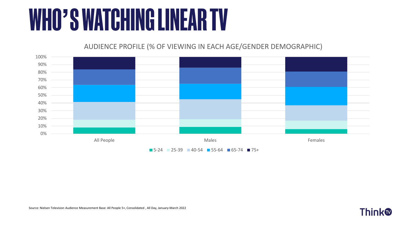## **WHO'S WATCHING LINEAR TV**

#### AUDIENCE PROFILE (% OF VIEWING IN EACH AGE/GENDER DEMOGRAPHIC)



 $\blacksquare$  5-24  $\blacksquare$  25-39  $\blacksquare$  40-54  $\blacksquare$  55-64  $\blacksquare$  65-74  $\blacksquare$  75+

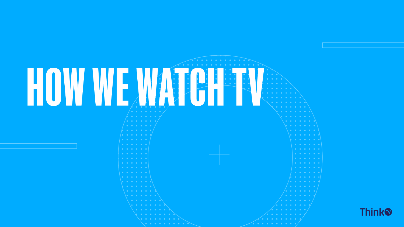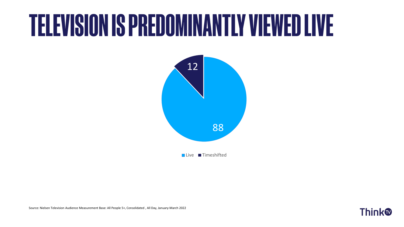## **TELEVISION IS PREDOMINANTLY VIEWED LIVE**



Live Timeshifted

Source: Nielsen Television Audience Measurement Base: All People 5+, Consolidated , All Day, January-March 2022

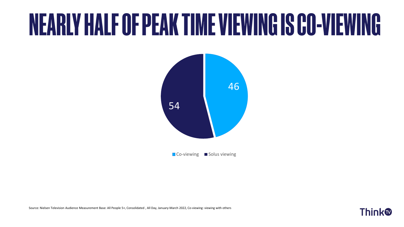## NEARLY HALF OF PEAK TIME VIEWING IS CO-VIEWING



Co-viewing Solus viewing

Source: Nielsen Television Audience Measurement Base: All People 5+, Consolidated , All Day, January-March 2022, Co-viewing: viewing with others

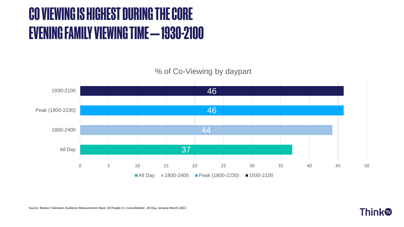### CO VIEWING IS HIGHEST DURING THE CORE **EVENING FAMILY VIEWING TIME - 1930-2100**



Source: Nielsen Television Audience Measurement Base: All People 5+, Consolidated , All Day, January-March 2022

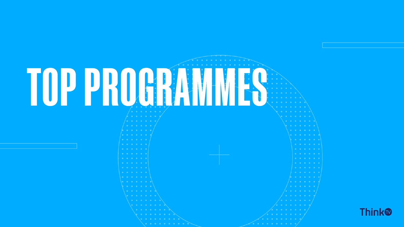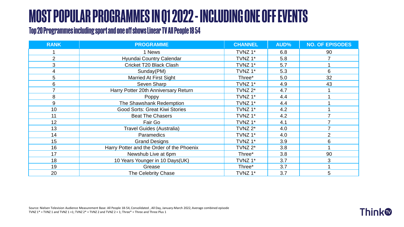### **MOST POPULAR PROGRAMMES IN Q1 2022 - INCLUDING ONE OFF EVENTS**

#### Top 20 Programmes including sport and one off shows Linear TV All People 18 54

| <b>RANK</b>    | <b>PROGRAMME</b>                          | <b>CHANNEL</b> | AUD% | <b>NO. OF EPISODES</b> |
|----------------|-------------------------------------------|----------------|------|------------------------|
|                | 1 News                                    | TVNZ 1*        | 6.8  | 90                     |
| $\overline{2}$ | Hyundai Country Calendar                  | TVNZ 1*        | 5.8  |                        |
| 3              | Cricket T20 Black Clash                   | TVNZ 1*        | 5.7  |                        |
| 4              | Sunday(PM)                                | TVNZ 1*        | 5.3  | 6                      |
| 5              | <b>Married At First Sight</b>             | Three*         | 5.0  | 32                     |
| 6              | Seven Sharp                               | TVNZ 1*        | 4.9  | 43                     |
|                | Harry Potter 20th Anniversary Return      | TVNZ 2*        | 4.7  |                        |
| 8              | Poppy                                     | TVNZ 1*        | 4.4  |                        |
| 9              | The Shawshank Redemption                  | TVNZ 1*        | 4.4  |                        |
| 10             | <b>Good Sorts: Great Kiwi Stories</b>     | TVNZ 1*        | 4.2  |                        |
| 11             | <b>Beat The Chasers</b>                   | TVNZ 1*        | 4.2  |                        |
| 12             | Fair Go                                   | TVNZ 1*        | 4.1  |                        |
| 13             | <b>Travel Guides (Australia)</b>          | TVNZ $2^*$     | 4.0  |                        |
| 14             | Paramedics                                | TVNZ 1*        | 4.0  | $\overline{2}$         |
| 15             | <b>Grand Designs</b>                      | TVNZ 1*        | 3.9  | 6                      |
| 16             | Harry Potter and the Order of the Phoenix | TVNZ 2*        | 3.8  |                        |
| 17             | Newshub Live at 6pm                       | Three*         | 3.8  | 90                     |
| 18             | 10 Years Younger in 10 Days(UK)           | TVNZ 1*        | 3.7  | 3                      |
| 19             | Grease                                    | Three*         | 3.7  |                        |
| 20             | The Celebrity Chase                       | TVNZ 1*        | 3.7  | 5                      |

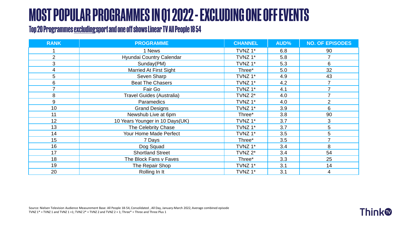### **MOST POPULAR PROGRAMMES IN Q1 2022 - EXCLUDING ONE OFF EVENTS**

#### Top 20 Programmes excluding sport and one off shows Linear TV All People 18 54

| <b>RANK</b>    | <b>PROGRAMME</b>                 | <b>CHANNEL</b> | AUD% | <b>NO. OF EPISODES</b> |
|----------------|----------------------------------|----------------|------|------------------------|
|                | 1 News                           | TVNZ 1*        | 6.8  | 90                     |
| $\overline{2}$ | Hyundai Country Calendar         | TVNZ 1*        | 5.8  |                        |
| 3              | Sunday(PM)                       | TVNZ 1*        | 5.3  | 6                      |
| 4              | <b>Married At First Sight</b>    | Three*         | 5.0  | 32                     |
| 5              | Seven Sharp                      | TVNZ 1*        | 4.9  | 43                     |
| 6              | <b>Beat The Chasers</b>          | TVNZ 1*        | 4.2  |                        |
|                | Fair Go                          | TVNZ 1*        | 4.1  | 7                      |
| 8              | <b>Travel Guides (Australia)</b> | TVNZ $2^*$     | 4.0  |                        |
| 9              | Paramedics                       | TVNZ 1*        | 4.0  | $\overline{2}$         |
| 10             | <b>Grand Designs</b>             | TVNZ 1*        | 3.9  | 6                      |
| 11             | Newshub Live at 6pm              | Three*         | 3.8  | 90                     |
| 12             | 10 Years Younger in 10 Days(UK)  | TVNZ 1*        | 3.7  | 3                      |
| 13             | The Celebrity Chase              | TVNZ 1*        | 3.7  | 5                      |
| 14             | Your Home Made Perfect           | TVNZ 1*        | 3.5  | 5                      |
| 15             | 7 Days                           | Three*         | 3.5  | 7                      |
| 16             | Dog Squad                        | TVNZ 1*        | 3.4  | 8                      |
| 17             | <b>Shortland Street</b>          | TVNZ $2^*$     | 3.4  | 54                     |
| 18             | The Block Fans v Faves           | Three*         | 3.3  | 25                     |
| 19             | The Repair Shop                  | TVNZ 1*        | 3.1  | 14                     |
| 20             | Rolling In It                    | TVNZ 1*        | 3.1  | $\overline{4}$         |

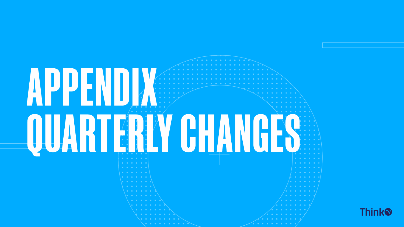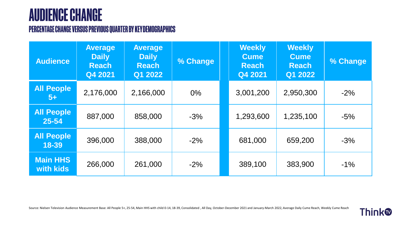#### **AUDIENCE CHANGE**

#### PERCENTAGE CHANGE VERSUS PREVIOUS QUARTER BY KEY DEMOGRAPHICS

| <b>Audience</b>              | <b>Average</b><br><b>Daily</b><br><b>Reach</b><br>Q4 2021 | <b>Average</b><br><b>Daily</b><br><b>Reach</b><br>Q1 2022 | % Change | <b>Weekly</b><br><b>Cume</b><br><b>Reach</b><br>Q4 2021 | <b>Weekly</b><br><b>Cume</b><br><b>Reach</b><br>Q1 2022 | % Change |
|------------------------------|-----------------------------------------------------------|-----------------------------------------------------------|----------|---------------------------------------------------------|---------------------------------------------------------|----------|
| <b>All People</b><br>$5+$    | 2,176,000                                                 | 2,166,000                                                 | $0\%$    | 3,001,200                                               | 2,950,300                                               | $-2%$    |
| <b>All People</b><br>25-54   | 887,000                                                   | 858,000                                                   | $-3%$    | 1,293,600                                               | 1,235,100                                               | $-5%$    |
| <b>All People</b><br>18-39   | 396,000                                                   | 388,000                                                   | $-2%$    | 681,000                                                 | 659,200                                                 | $-3%$    |
| <b>Main HHS</b><br>with kids | 266,000                                                   | 261,000                                                   | $-2%$    | 389,100                                                 | 383,900                                                 | $-1\%$   |

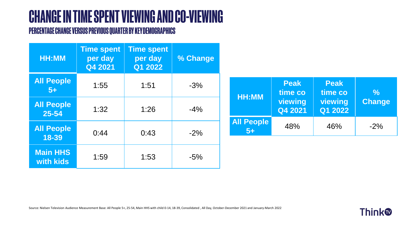### **CHANGE IN TIME SPENT VIEWING AND CO-VIEWING**

#### PERCENTAGE CHANGE VERSUS PREVIOUS QUARTER BY KEY DEMOGRAPHICS

| <b>HH:MM</b>                 | <b>Time spent</b><br>per day<br>Q4 2021 | <b>Time spent</b><br>per day<br>Q1 2022 | % Change |
|------------------------------|-----------------------------------------|-----------------------------------------|----------|
| <b>All People</b><br>$5+$    | 1:55                                    | 1:51                                    | $-3%$    |
| <b>All People</b><br>25-54   | 1:32                                    | 1:26                                    | $-4%$    |
| <b>All People</b><br>18-39   | 0:44                                    | 0:43                                    | $-2\%$   |
| <b>Main HHS</b><br>with kids | 1:59                                    | 1:53                                    | $-5%$    |

| HH:MM                     | <b>Peak</b><br>time co<br>viewing<br>Q4 2021 | <b>Peak</b><br>time co<br>viewing<br>Q1 2022 | <u>l%l</u><br><b>Change</b> |
|---------------------------|----------------------------------------------|----------------------------------------------|-----------------------------|
| <b>All People</b><br>$5+$ | 48%                                          | 46%                                          | $-2\%$                      |

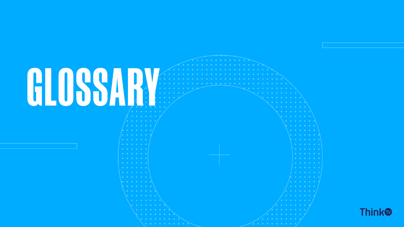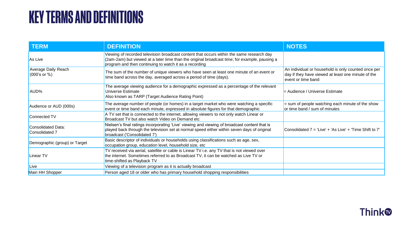#### **KEY TERMS AND DEFINITIONS**

| <b>TERM</b>                                | <b>DEFINITION</b>                                                                                                                                                                                                                                    | <b>NOTES</b>                                                                                                                    |
|--------------------------------------------|------------------------------------------------------------------------------------------------------------------------------------------------------------------------------------------------------------------------------------------------------|---------------------------------------------------------------------------------------------------------------------------------|
| As Live                                    | Viewing of recorded television broadcast content that occurs within the same research day<br>(2am-2am) but viewed at a later time than the original broadcast time; for example, pausing a<br>program and then continuing to watch it as a recording |                                                                                                                                 |
| <b>Average Daily Reach</b><br>(000's or %) | The sum of the number of unique viewers who have seen at least one minute of an event or<br>time band across the day, averaged across a period of time (days).                                                                                       | An individual or household is only counted once per<br>day if they have viewed at least one minute of the<br>event or time band |
| AUD%                                       | The average viewing audience for a demographic expressed as a percentage of the relevant<br>Universe Estimate<br>Also known as TARP (Target Audience Rating Point)                                                                                   | $=$ Audience / Universe Estimate                                                                                                |
| Audience or AUD (000s)                     | The average number of people (or homes) in a target market who were watching a specific<br>event or time band each minute, expressed in absolute figures for that demographic                                                                        | $=$ sum of people watching each minute of the show<br>or time band / sum of minutes                                             |
| Connected TV                               | A TV set that is connected to the internet, allowing viewers to not only watch Linear or<br>Broadcast TV but also watch Video on Demand etc                                                                                                          |                                                                                                                                 |
| Consolidated Data:<br>Consolidated 7       | Nielsen's final ratings incorporating 'Live' viewing and viewing of broadcast content that is<br>played back through the television set at normal speed either within seven days of original<br>broadcast ('Consolidated 7')                         | Consolidated 7 = 'Live' + 'As Live' + 'Time Shift to 7'                                                                         |
| Demographic (group) or Target              | Basic descriptor of individuals or households using classifications such as age, sex,<br>occupation group, education level, household size, etc                                                                                                      |                                                                                                                                 |
| Linear TV                                  | TV received via aerial, satellite or cable is Linear TV i.e. any TV that is not viewed over<br>the internet. Sometimes referred to as Broadcast TV, it can be watched as Live TV or<br>time-shifted as Playback TV                                   |                                                                                                                                 |
| Live                                       | Viewing of a television program as it is actually broadcast                                                                                                                                                                                          |                                                                                                                                 |
| Main HH Shopper                            | Person aged 18 or older who has primary household shopping responsibilities                                                                                                                                                                          |                                                                                                                                 |

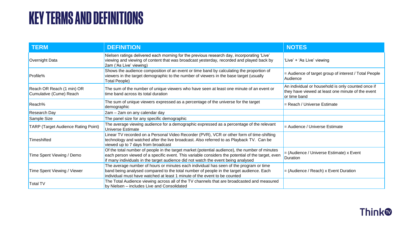#### **KEY TERMS AND DEFINITIONS**

| <b>TERM</b>                                          | <b>DEFINITION</b>                                                                                                                                                                                                                                                                        | <b>NOTES</b>                                                                                                            |
|------------------------------------------------------|------------------------------------------------------------------------------------------------------------------------------------------------------------------------------------------------------------------------------------------------------------------------------------------|-------------------------------------------------------------------------------------------------------------------------|
| Overnight Data                                       | Nielsen ratings delivered each morning for the previous research day, incorporating 'Live'<br>viewing and viewing of content that was broadcast yesterday, recorded and played back by<br>2am ('As Live' viewing)                                                                        | 'Live' + 'As Live' viewing                                                                                              |
| Profile%                                             | Shows the audience composition of an event or time band by calculating the proportion of<br>viewers in the target demographic to the number of viewers in the base target (usually<br><b>Total People)</b>                                                                               | = Audience of target group of interest / Total People<br>Audience                                                       |
| Reach OR Reach (1 min) OR<br>Cumulative (Cume) Reach | The sum of the number of unique viewers who have seen at least one minute of an event or<br>time band across its total duration                                                                                                                                                          | An individual or household is only counted once if<br>they have viewed at least one minute of the event<br>or time band |
| Reach%                                               | The sum of unique viewers expressed as a percentage of the universe for the target<br>demographic                                                                                                                                                                                        | = Reach / Universe Estimate                                                                                             |
| <b>Research Day</b>                                  | 2am - 2am on any calendar day                                                                                                                                                                                                                                                            |                                                                                                                         |
| Sample Size                                          | The panel size for any specific demographic                                                                                                                                                                                                                                              |                                                                                                                         |
| <b>TARP (Target Audience Rating Point)</b>           | The average viewing audience for a demographic expressed as a percentage of the relevant<br><b>Universe Estimate</b>                                                                                                                                                                     | = Audience / Universe Estimate                                                                                          |
| Timeshifted                                          | Linear TV recorded on a Personal Video Recorder (PVR), VCR or other form of time-shifting<br>technology and watched after the live broadcast. Also referred to as Playback TV. Can be<br>viewed up to 7 days from broadcast                                                              |                                                                                                                         |
| Time Spent Viewing / Demo                            | Of the total number of people in the target market (potential audience), the number of minutes<br>each person viewed of a specific event. This variable considers the potential of the target, even<br>if many individuals in the target audience did not watch the event being analysed | = (Audience / Universe Estimate) x Event<br><b>Duration</b>                                                             |
| Time Spent Viewing / Viewer                          | The average number of hours or minutes each individual has seen of the program or time<br>band being analysed compared to the total number of people in the target audience. Each<br>individual must have watched at least 1 minute of the event to be counted                           | $=$ (Audience / Reach) x Event Duration                                                                                 |
| <b>Total TV</b>                                      | The Total Audience viewing across all of the TV channels that are broadcasted and measured<br>by Nielsen - includes Live and Consolidated                                                                                                                                                |                                                                                                                         |